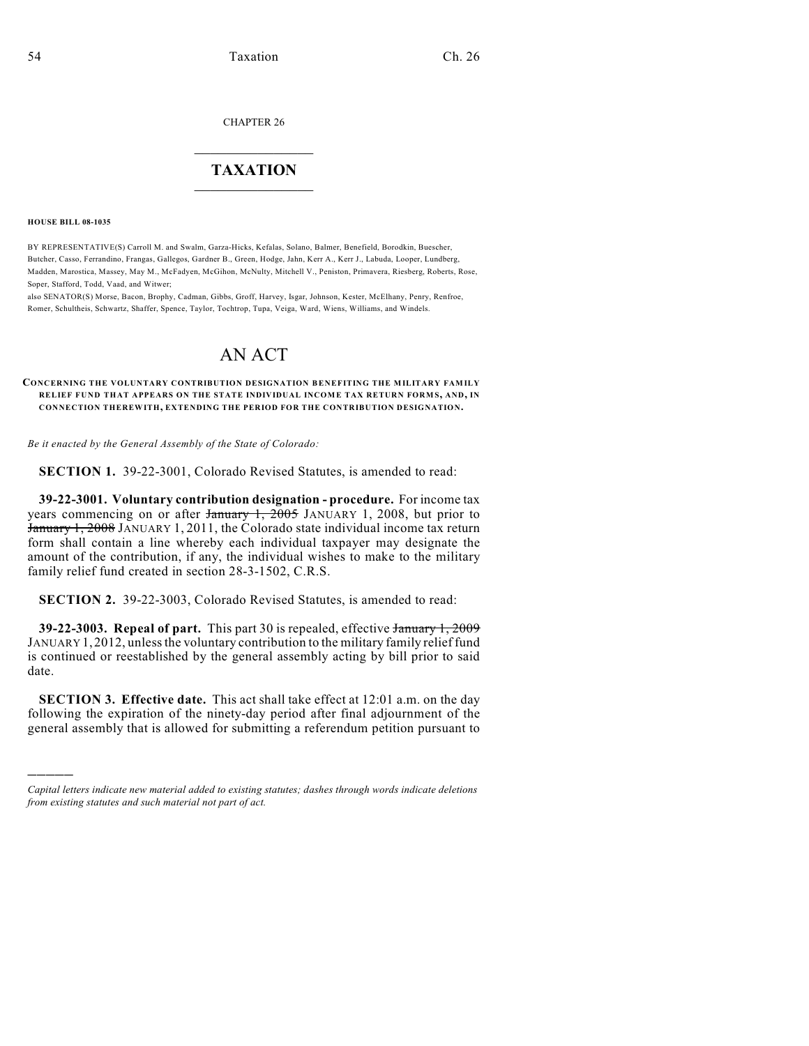CHAPTER 26

## $\overline{\phantom{a}}$  . The set of the set of the set of the set of the set of the set of the set of the set of the set of the set of the set of the set of the set of the set of the set of the set of the set of the set of the set o **TAXATION**  $\_$

**HOUSE BILL 08-1035**

)))))

BY REPRESENTATIVE(S) Carroll M. and Swalm, Garza-Hicks, Kefalas, Solano, Balmer, Benefield, Borodkin, Buescher, Butcher, Casso, Ferrandino, Frangas, Gallegos, Gardner B., Green, Hodge, Jahn, Kerr A., Kerr J., Labuda, Looper, Lundberg, Madden, Marostica, Massey, May M., McFadyen, McGihon, McNulty, Mitchell V., Peniston, Primavera, Riesberg, Roberts, Rose, Soper, Stafford, Todd, Vaad, and Witwer;

also SENATOR(S) Morse, Bacon, Brophy, Cadman, Gibbs, Groff, Harvey, Isgar, Johnson, Kester, McElhany, Penry, Renfroe, Romer, Schultheis, Schwartz, Shaffer, Spence, Taylor, Tochtrop, Tupa, Veiga, Ward, Wiens, Williams, and Windels.

## AN ACT

## **CONCERNING THE VOLUNTARY CONTRIBUTION DESIGNATION BENEFITING THE MILITARY FAMILY RELIEF FUND THAT APPEARS ON THE STATE INDIVIDUAL INCOM E TAX RETURN FORM S, AND, IN CONNECTION THEREWITH, EXTENDING THE PERIOD FOR THE CONTRIBUTION DESIGNATION.**

*Be it enacted by the General Assembly of the State of Colorado:*

**SECTION 1.** 39-22-3001, Colorado Revised Statutes, is amended to read:

**39-22-3001. Voluntary contribution designation - procedure.** For income tax years commencing on or after January 1, 2005 JANUARY 1, 2008, but prior to January 1, 2008 JANUARY 1, 2011, the Colorado state individual income tax return form shall contain a line whereby each individual taxpayer may designate the amount of the contribution, if any, the individual wishes to make to the military family relief fund created in section 28-3-1502, C.R.S.

**SECTION 2.** 39-22-3003, Colorado Revised Statutes, is amended to read:

**39-22-3003. Repeal of part.** This part 30 is repealed, effective January 1, 2009 JANUARY 1,2012, unless the voluntary contribution to the military family relief fund is continued or reestablished by the general assembly acting by bill prior to said date.

**SECTION 3. Effective date.** This act shall take effect at 12:01 a.m. on the day following the expiration of the ninety-day period after final adjournment of the general assembly that is allowed for submitting a referendum petition pursuant to

*Capital letters indicate new material added to existing statutes; dashes through words indicate deletions from existing statutes and such material not part of act.*